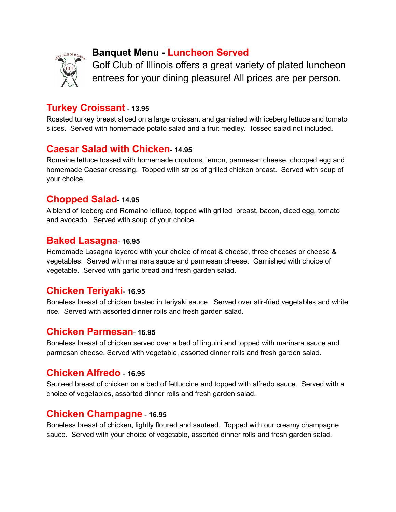

# **Banquet Menu - Luncheon Served**

Golf Club of Illinois offers a great variety of plated luncheon entrees for your dining pleasure! All prices are per person.

## **Turkey Croissant** - **13.95**

Roasted turkey breast sliced on a large croissant and garnished with iceberg lettuce and tomato slices. Served with homemade potato salad and a fruit medley. Tossed salad not included.

# **Caesar Salad with Chicken**- **14.95**

Romaine lettuce tossed with homemade croutons, lemon, parmesan cheese, chopped egg and homemade Caesar dressing. Topped with strips of grilled chicken breast. Served with soup of your choice.

## **Chopped Salad**- **14.95**

A blend of Iceberg and Romaine lettuce, topped with grilled breast, bacon, diced egg, tomato and avocado. Served with soup of your choice.

#### **Baked Lasagna**- **16.95**

Homemade Lasagna layered with your choice of meat & cheese, three cheeses or cheese & vegetables. Served with marinara sauce and parmesan cheese. Garnished with choice of vegetable. Served with garlic bread and fresh garden salad.

### **Chicken Teriyaki**- **16.95**

Boneless breast of chicken basted in teriyaki sauce. Served over stir-fried vegetables and white rice. Served with assorted dinner rolls and fresh garden salad.

### **Chicken Parmesan**- **16.95**

Boneless breast of chicken served over a bed of linguini and topped with marinara sauce and parmesan cheese. Served with vegetable, assorted dinner rolls and fresh garden salad.

### **Chicken Alfredo** - **16.95**

Sauteed breast of chicken on a bed of fettuccine and topped with alfredo sauce. Served with a choice of vegetables, assorted dinner rolls and fresh garden salad.

### **Chicken Champagne** - **16.95**

Boneless breast of chicken, lightly floured and sauteed. Topped with our creamy champagne sauce. Served with your choice of vegetable, assorted dinner rolls and fresh garden salad.